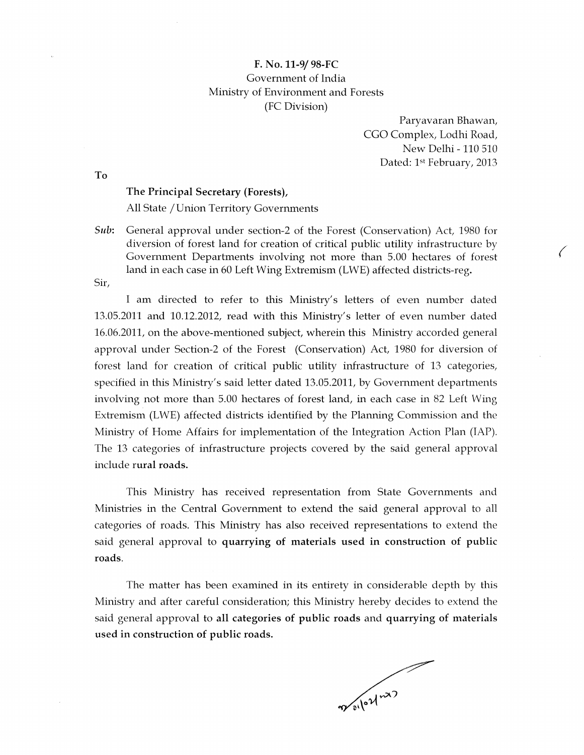To

F. No. 11-9/ 98-FC Government of India Ministry of Environment and Forests (FC Division)

## The Principal Secretary (Forests),

All State / Union Territory Governments

*Sub:* General approval under section-2 of the Forest (Conservation) Act, 1980 for diversion of forest land for creation of critical public utility infrastructure by Government Departments involving not more than 5.00 hectares of forest land in each case in 60 Left Wing Extremism (LWE) affected districts-reg.

Sir,

I am directed to refer to this Ministry's letters of even number dated 13.05.2011 and 10.12.2012, read with this Ministry's letter of even number dated 16.06.2011, on the above-mentioned subject, wherein this Ministry accorded general approval under Section-2 of the Forest (Conservation) Act, 1980 for diversion of forest land for creation of critical public utility infrastructure of 13 categories, specified in this Ministry's said letter dated 13.05.2011, by Government departments involving not more than 5.00 hectares of forest land, in each case in 82 Left Wing Extremism (LWE) affected districts identified by the Planning Commission and the Ministry of Home Affairs for implementation of the Integration Action Plan (IAP). The 13 categories of infrastructure projects covered by the said general approval include rural roads.

Paryavaran Bhawan, CGO Complex, Lodhi Road, New Delhi - 110 510 Dated: 1st February, 2013

This Ministry has received representation from State Governments and Ministries in the Central Government to extend the said general approval to all categories of roads. This Ministry has also received representations to extend the said general approval to quarrying of materials used in construction of public roads.

The matter has been examined in its entirety in considerable depth by this Ministry and after careful consideration; this Ministry hereby decides to extend the said general approval to all categories of public roads and quarrying of materials used in construction of public roads.

Meiled nr.